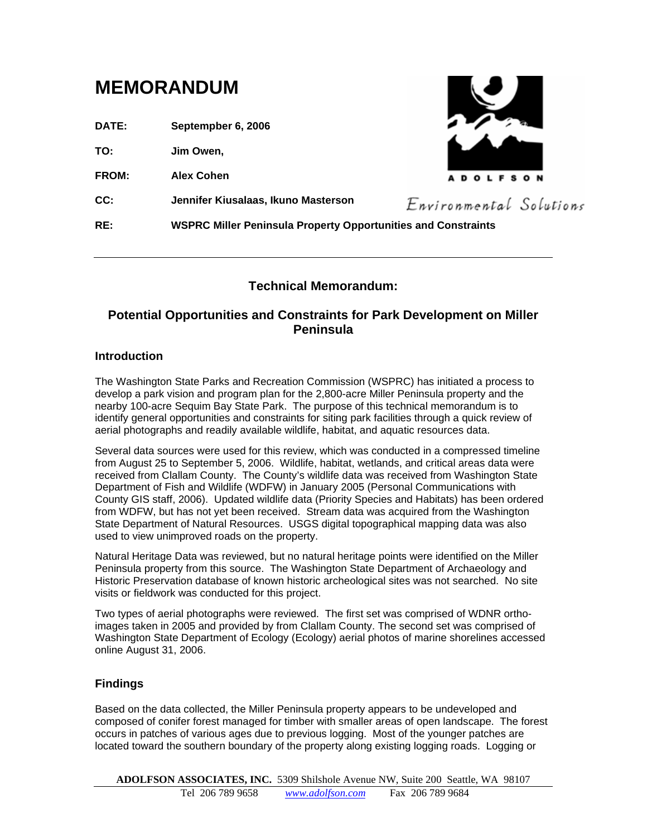# **MEMORANDUM**

**DATE: Septempber 6, 2006**

**TO: Jim Owen,** 

**FROM: Alex Cohen**

**CC: Jennifer Kiusalaas, Ikuno Masterson**



Environmental Solutions

**RE: WSPRC Miller Peninsula Property Opportunities and Constraints**

# **Technical Memorandum:**

# **Potential Opportunities and Constraints for Park Development on Miller Peninsula**

#### **Introduction**

The Washington State Parks and Recreation Commission (WSPRC) has initiated a process to develop a park vision and program plan for the 2,800-acre Miller Peninsula property and the nearby 100-acre Sequim Bay State Park. The purpose of this technical memorandum is to identify general opportunities and constraints for siting park facilities through a quick review of aerial photographs and readily available wildlife, habitat, and aquatic resources data.

Several data sources were used for this review, which was conducted in a compressed timeline from August 25 to September 5, 2006. Wildlife, habitat, wetlands, and critical areas data were received from Clallam County. The County's wildlife data was received from Washington State Department of Fish and Wildlife (WDFW) in January 2005 (Personal Communications with County GIS staff, 2006). Updated wildlife data (Priority Species and Habitats) has been ordered from WDFW, but has not yet been received. Stream data was acquired from the Washington State Department of Natural Resources. USGS digital topographical mapping data was also used to view unimproved roads on the property.

Natural Heritage Data was reviewed, but no natural heritage points were identified on the Miller Peninsula property from this source. The Washington State Department of Archaeology and Historic Preservation database of known historic archeological sites was not searched. No site visits or fieldwork was conducted for this project.

Two types of aerial photographs were reviewed. The first set was comprised of WDNR orthoimages taken in 2005 and provided by from Clallam County. The second set was comprised of Washington State Department of Ecology (Ecology) aerial photos of marine shorelines accessed online August 31, 2006.

## **Findings**

Based on the data collected, the Miller Peninsula property appears to be undeveloped and composed of conifer forest managed for timber with smaller areas of open landscape. The forest occurs in patches of various ages due to previous logging. Most of the younger patches are located toward the southern boundary of the property along existing logging roads. Logging or

**ADOLFSON ASSOCIATES, INC.** 5309 Shilshole Avenue NW, Suite 200 Seattle, WA 98107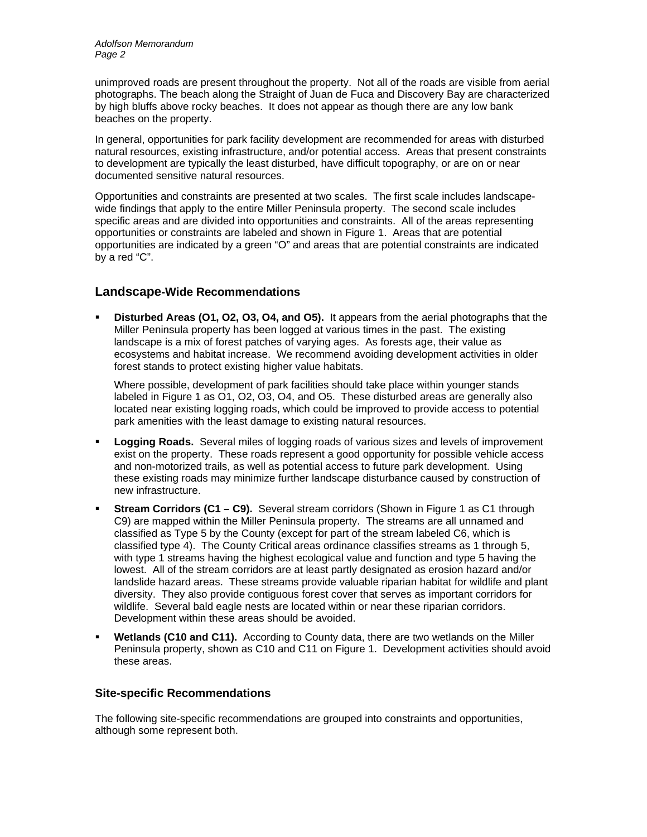unimproved roads are present throughout the property. Not all of the roads are visible from aerial photographs. The beach along the Straight of Juan de Fuca and Discovery Bay are characterized by high bluffs above rocky beaches. It does not appear as though there are any low bank beaches on the property.

In general, opportunities for park facility development are recommended for areas with disturbed natural resources, existing infrastructure, and/or potential access. Areas that present constraints to development are typically the least disturbed, have difficult topography, or are on or near documented sensitive natural resources.

Opportunities and constraints are presented at two scales. The first scale includes landscapewide findings that apply to the entire Miller Peninsula property. The second scale includes specific areas and are divided into opportunities and constraints. All of the areas representing opportunities or constraints are labeled and shown in Figure 1. Areas that are potential opportunities are indicated by a green "O" and areas that are potential constraints are indicated by a red "C".

## **Landscape-Wide Recommendations**

 **Disturbed Areas (O1, O2, O3, O4, and O5).** It appears from the aerial photographs that the Miller Peninsula property has been logged at various times in the past. The existing landscape is a mix of forest patches of varying ages. As forests age, their value as ecosystems and habitat increase. We recommend avoiding development activities in older forest stands to protect existing higher value habitats.

Where possible, development of park facilities should take place within younger stands labeled in Figure 1 as O1, O2, O3, O4, and O5. These disturbed areas are generally also located near existing logging roads, which could be improved to provide access to potential park amenities with the least damage to existing natural resources.

- **Logging Roads.** Several miles of logging roads of various sizes and levels of improvement exist on the property. These roads represent a good opportunity for possible vehicle access and non-motorized trails, as well as potential access to future park development. Using these existing roads may minimize further landscape disturbance caused by construction of new infrastructure.
- **Stream Corridors (C1 – C9).** Several stream corridors (Shown in Figure 1 as C1 through C9) are mapped within the Miller Peninsula property. The streams are all unnamed and classified as Type 5 by the County (except for part of the stream labeled C6, which is classified type 4). The County Critical areas ordinance classifies streams as 1 through 5, with type 1 streams having the highest ecological value and function and type 5 having the lowest. All of the stream corridors are at least partly designated as erosion hazard and/or landslide hazard areas. These streams provide valuable riparian habitat for wildlife and plant diversity. They also provide contiguous forest cover that serves as important corridors for wildlife. Several bald eagle nests are located within or near these riparian corridors. Development within these areas should be avoided.
- **Wetlands (C10 and C11).** According to County data, there are two wetlands on the Miller Peninsula property, shown as C10 and C11 on Figure 1. Development activities should avoid these areas.

## **Site-specific Recommendations**

The following site-specific recommendations are grouped into constraints and opportunities, although some represent both.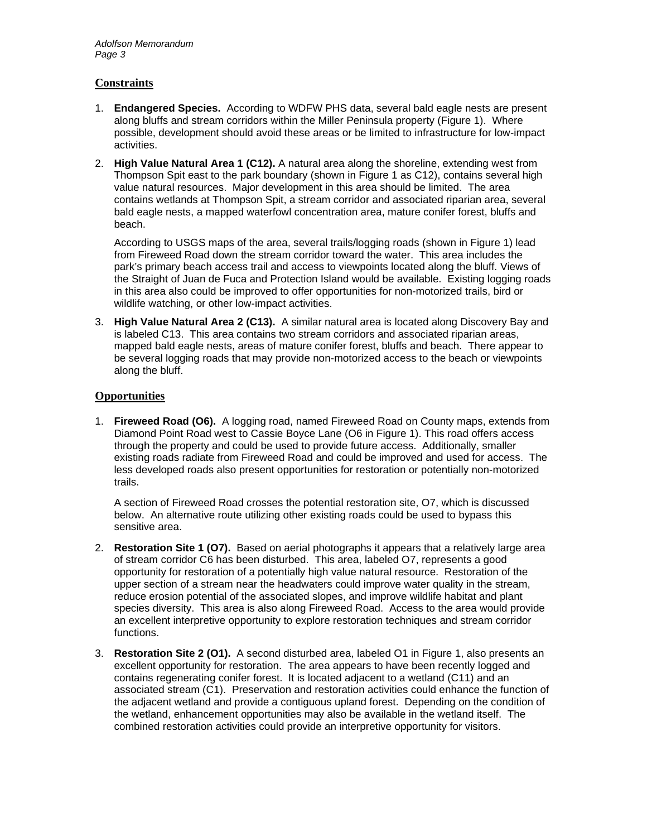#### **Constraints**

- 1. **Endangered Species.** According to WDFW PHS data, several bald eagle nests are present along bluffs and stream corridors within the Miller Peninsula property (Figure 1). Where possible, development should avoid these areas or be limited to infrastructure for low-impact activities.
- 2. **High Value Natural Area 1 (C12).** A natural area along the shoreline, extending west from Thompson Spit east to the park boundary (shown in Figure 1 as C12), contains several high value natural resources. Major development in this area should be limited. The area contains wetlands at Thompson Spit, a stream corridor and associated riparian area, several bald eagle nests, a mapped waterfowl concentration area, mature conifer forest, bluffs and beach.

According to USGS maps of the area, several trails/logging roads (shown in Figure 1) lead from Fireweed Road down the stream corridor toward the water. This area includes the park's primary beach access trail and access to viewpoints located along the bluff. Views of the Straight of Juan de Fuca and Protection Island would be available. Existing logging roads in this area also could be improved to offer opportunities for non-motorized trails, bird or wildlife watching, or other low-impact activities.

3. **High Value Natural Area 2 (C13).** A similar natural area is located along Discovery Bay and is labeled C13. This area contains two stream corridors and associated riparian areas, mapped bald eagle nests, areas of mature conifer forest, bluffs and beach. There appear to be several logging roads that may provide non-motorized access to the beach or viewpoints along the bluff.

#### **Opportunities**

1. **Fireweed Road (O6).** A logging road, named Fireweed Road on County maps, extends from Diamond Point Road west to Cassie Boyce Lane (O6 in Figure 1). This road offers access through the property and could be used to provide future access. Additionally, smaller existing roads radiate from Fireweed Road and could be improved and used for access. The less developed roads also present opportunities for restoration or potentially non-motorized trails.

A section of Fireweed Road crosses the potential restoration site, O7, which is discussed below. An alternative route utilizing other existing roads could be used to bypass this sensitive area.

- 2. **Restoration Site 1 (O7).** Based on aerial photographs it appears that a relatively large area of stream corridor C6 has been disturbed. This area, labeled O7, represents a good opportunity for restoration of a potentially high value natural resource. Restoration of the upper section of a stream near the headwaters could improve water quality in the stream, reduce erosion potential of the associated slopes, and improve wildlife habitat and plant species diversity. This area is also along Fireweed Road. Access to the area would provide an excellent interpretive opportunity to explore restoration techniques and stream corridor functions.
- 3. **Restoration Site 2 (O1).** A second disturbed area, labeled O1 in Figure 1, also presents an excellent opportunity for restoration. The area appears to have been recently logged and contains regenerating conifer forest. It is located adjacent to a wetland (C11) and an associated stream (C1). Preservation and restoration activities could enhance the function of the adjacent wetland and provide a contiguous upland forest. Depending on the condition of the wetland, enhancement opportunities may also be available in the wetland itself. The combined restoration activities could provide an interpretive opportunity for visitors.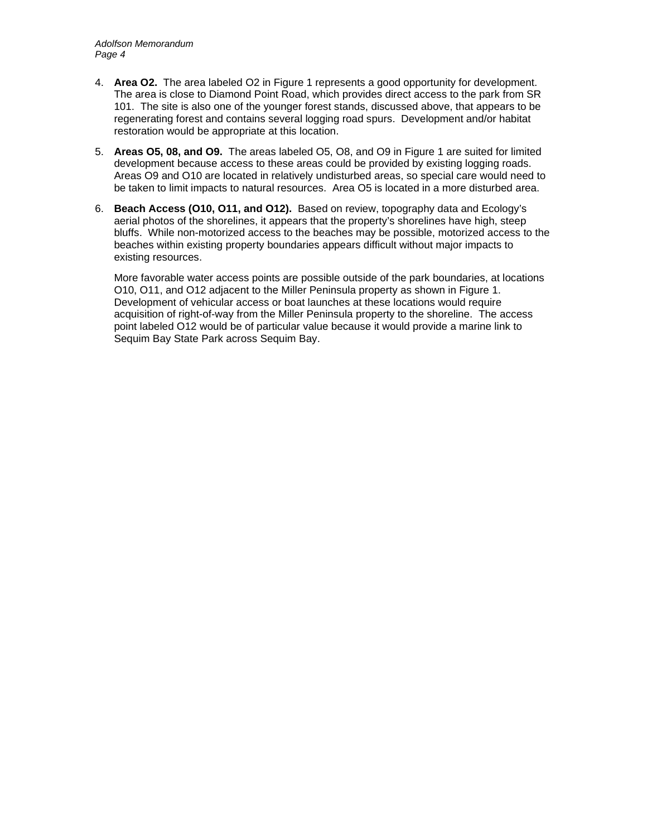- 4. **Area O2.** The area labeled O2 in Figure 1 represents a good opportunity for development. The area is close to Diamond Point Road, which provides direct access to the park from SR 101. The site is also one of the younger forest stands, discussed above, that appears to be regenerating forest and contains several logging road spurs. Development and/or habitat restoration would be appropriate at this location.
- 5. **Areas O5, 08, and O9.** The areas labeled O5, O8, and O9 in Figure 1 are suited for limited development because access to these areas could be provided by existing logging roads. Areas O9 and O10 are located in relatively undisturbed areas, so special care would need to be taken to limit impacts to natural resources. Area O5 is located in a more disturbed area.
- 6. **Beach Access (O10, O11, and O12).** Based on review, topography data and Ecology's aerial photos of the shorelines, it appears that the property's shorelines have high, steep bluffs. While non-motorized access to the beaches may be possible, motorized access to the beaches within existing property boundaries appears difficult without major impacts to existing resources.

More favorable water access points are possible outside of the park boundaries, at locations O10, O11, and O12 adjacent to the Miller Peninsula property as shown in Figure 1. Development of vehicular access or boat launches at these locations would require acquisition of right-of-way from the Miller Peninsula property to the shoreline. The access point labeled O12 would be of particular value because it would provide a marine link to Sequim Bay State Park across Sequim Bay.